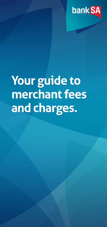

## **Your guide to merchant fees and charges.**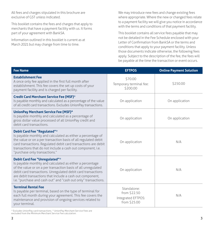All fees and charges stipulated in this brochure are exclusive of GST unless indicated.

This booklet contains the fees and charges that apply to merchants that have a payment facility with us. It forms part of your agreement with BankSA.

Information outlined in this booklet is current as at March 2021 but may change from time to time.

We may introduce new fees and change existing fees where appropriate. Where the new or changed fees relate to a payment facility we will give you notice in accordance with the terms and conditions of that payment facility.

This booklet contains all service fees payable that may not be detailed in the Fee Schedule enclosed with your Letter of Confirmation from BankSA or the terms and conditions that apply to your payment facility. Unless those documents indicate otherwise, the following fees apply. Subject to the description of the fee, the fees will be payable at the time the transaction or event occurs.

| <b>Fee Name</b>                                                                                                                                                                                                                                                                                                                                           | <b>EFTPOS</b>                                                     | <b>Online Payment Solution</b> |
|-----------------------------------------------------------------------------------------------------------------------------------------------------------------------------------------------------------------------------------------------------------------------------------------------------------------------------------------------------------|-------------------------------------------------------------------|--------------------------------|
| <b>Establishment Fee</b><br>A once only fee applied in the first full month after<br>establishment. This fee covers the set up costs of your<br>payment facility and is charged per facility.                                                                                                                                                             | \$70.00<br>Temporary terminal fee:<br>\$200.00                    | \$250.00                       |
| <b>Credit Card Merchant Service Fee (MSF)</b> *<br>Is payable monthly and calculated as a percentage of the value<br>of all credit card transactions. Excludes UnionPay transactions.                                                                                                                                                                     | On application                                                    | On application                 |
| UnionPay Merchant Service Fee (MSF)^<br>Is payable monthly and calculated as a percentage of<br>gross dollar value processed of all UnionPay credit and<br>debit card transactions.                                                                                                                                                                       | On application                                                    | On application                 |
| Debit Card Fee "Regulated"*<br>Is payable monthly and calculated as either a percentage of<br>the value or on a per transaction basis of all regulated debit<br>card transactions. Regulated debit card transactions are debit<br>transactions that do not include a cash out component, i.e.<br>"purchase only transactions."                            | On application                                                    | N/A                            |
| Debit Card Fee "Unregulated"*<br>Is payable monthly and calculated as either a percentage<br>of the value or on a per transaction basis of all unregulated<br>debit card transactions. Unregulated debit card transactions<br>are debit transactions that include a cash out component,<br>i.e. "purchase and cash out" and "cash out only" transactions. | On application                                                    | N/A                            |
| <b>Terminal Rental Fee</b><br>Is payable per terminal, based on the type of terminal for<br>each full month during your agreement. This fee covers the<br>maintenance and provision of ongoing services related to<br>your terminal.                                                                                                                      | Standalone:<br>from \$22.50<br>Integrated EFTPOS:<br>from \$25.00 | N/A                            |

\* Excludes UnionPay card transactions. ^ UnionPay Merchant Service Fees are excluded from the Minimum Merchant Service Fee calculation.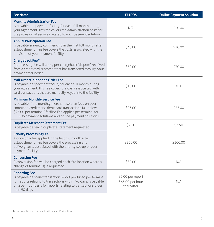| <b>Fee Name</b>                                                                                                                                                                                                                                                                                | <b>EFTPOS</b>                                       | <b>Online Payment Solution</b> |
|------------------------------------------------------------------------------------------------------------------------------------------------------------------------------------------------------------------------------------------------------------------------------------------------|-----------------------------------------------------|--------------------------------|
| <b>Monthly Administration Fee</b><br>Is payable per payment facility for each full month during<br>your agreement. This fee covers the administration costs for<br>the provision of services related to your payment solution.                                                                 | N/A                                                 | \$30.00                        |
| <b>Annual Participation Fee</b><br>Is payable annually commencing in the first full month after<br>establishment. This fee covers the costs associated with the<br>provision of your payment facility.                                                                                         | \$40.00                                             | \$40.00                        |
| <b>Chargeback Fee<sup>+</sup></b><br>A processing fee will apply per chargeback (dispute) received<br>from a credit card customer that has transacted through your<br>payment facility/ies.                                                                                                    | \$30.00                                             | \$30.00                        |
| Mail Order/Telephone Order Fee<br>Is payable per payment facility for each full month during<br>your agreement. This fee covers the costs associated with<br>card transactions that are manually keyed into the facility.                                                                      | \$10.00                                             | N/A                            |
| <b>Minimum Monthly Service Fee</b><br>Is payable if the monthly merchant service fees on your<br>combined credit <sup>^</sup> and debit card transactions fall below<br>\$25.00 per terminal/ facility. Fee applies per terminal for<br>EFTPOS payment solutions and online payment solutions. | \$25.00                                             | \$25.00                        |
| <b>Duplicate Merchant Statement Fee</b><br>Is payable per each duplicate statement requested.                                                                                                                                                                                                  | \$7.50                                              | \$7.50                         |
| <b>Priority Processing Fee</b><br>A once only fee applied in the first full month after<br>establishment. This fee covers the processing and<br>delivery costs associated with the priority set-up of your<br>payment facility.                                                                | \$250.00                                            | \$100.00                       |
| <b>Conversion Fee</b><br>A conversion fee will be charged each site location where a<br>change of terminal(s) is requested.                                                                                                                                                                    | \$80.00                                             | N/A                            |
| <b>Reporting Fee</b><br>Is payable per daily transaction report produced per terminal<br>for reports relating to transactions within 90 days. Is payable<br>on a per hour basis for reports relating to transactions older<br>than 90 days.                                                    | \$5.00 per report<br>\$65.00 per hour<br>thereafter | N/A                            |

<sup>+</sup> Fee also applicable to products with Simple Pricing Plan.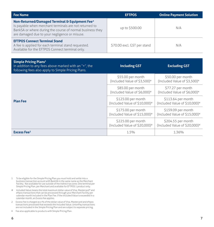| <b>Fee Name</b>                                                                                                                                                                                                        | <b>EFTPOS</b>               | <b>Online Payment Solution</b> |
|------------------------------------------------------------------------------------------------------------------------------------------------------------------------------------------------------------------------|-----------------------------|--------------------------------|
| Non-Returned/Damaged Terminal & Equipment Fee+<br>Is payable when merchant terminals are not returned to<br>BankSA or where during the course of normal business they<br>are damaged due to your negligence or misuse. | up to \$500.00              | N/A                            |
| <b>EFTPOS Connect Terminal Stand</b><br>A fee is applied for each terminal stand requested.<br>Available for the EFTPOS Connect terminal only.                                                                         | \$70.00 excl. GST per stand | N/A                            |

| <b>Simple Pricing Plans1</b><br>In addition to any fees above marked with an "+", the<br>following fees also apply to Simple Pricing Plans. | <b>Including GST</b>                                            | <b>Excluding GST</b>                                            |
|---------------------------------------------------------------------------------------------------------------------------------------------|-----------------------------------------------------------------|-----------------------------------------------------------------|
| <b>Plan Fee</b>                                                                                                                             | \$55.00 per month<br>(Included Value of \$3,500)#               | \$50.00 per month<br>(Included Value of \$3,500)#               |
|                                                                                                                                             | \$85.00 per month<br>(Included Value of \$6,000)#               | \$77.27 per month<br>(Included Value of \$6,000)#               |
|                                                                                                                                             | \$125.00 per month<br>(Included Value of \$10,000)#             | \$113.64 per month<br>(Included Value of \$10,000) <sup>#</sup> |
|                                                                                                                                             | \$175.00 per month<br>(Included Value of \$15,000) <sup>#</sup> | \$159.09 per month<br>(Included Value of \$15,000) <sup>#</sup> |
|                                                                                                                                             | \$225.00 per month<br>(Included Value of \$20,000)#             | \$204.55 per month<br>(Included Value of \$20,000)#             |
| Excess Fee <sup>2</sup>                                                                                                                     | 1.5%                                                            | 1.36%                                                           |

- 1 To be eligible for the Simple Pricing Plan you must hold and settle into a business transaction account with BankSA in the same name as the Merchant Facility. Not available for use outside of the indirect tax zone. One terminal per Simple Pricing Plan, per Merchant and available for EFTPOS 1 product only.
- # Included Value means the total maximum dollar value of Visa, Mastercard® and eftpos transactions that can be processed through your Merchant Facility per calendar month included in the Plan Fee. If the Included Value is exceeded in a calendar month, an Excess fee applies.
- 2 Excess Fee is charged as a % of the dollar value of Visa, Mastercard and eftpos transactions processed that exceeds the Included Value. UnionPay transactions are not included in the Simple Pricing Plan and are subject to separate pricing.
- **+** Fee also applicable to products with Simple Pricing Plan.